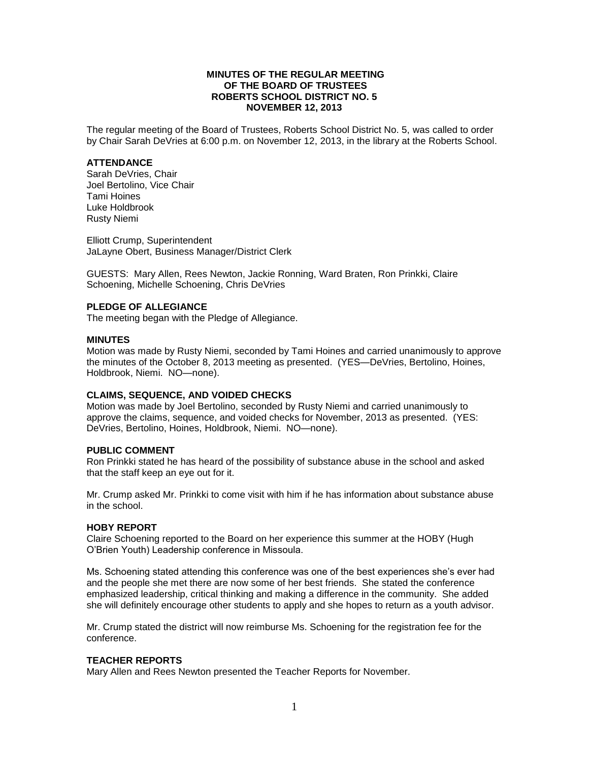## **MINUTES OF THE REGULAR MEETING OF THE BOARD OF TRUSTEES ROBERTS SCHOOL DISTRICT NO. 5 NOVEMBER 12, 2013**

The regular meeting of the Board of Trustees, Roberts School District No. 5, was called to order by Chair Sarah DeVries at 6:00 p.m. on November 12, 2013, in the library at the Roberts School.

#### **ATTENDANCE**

Sarah DeVries, Chair Joel Bertolino, Vice Chair Tami Hoines Luke Holdbrook Rusty Niemi

Elliott Crump, Superintendent JaLayne Obert, Business Manager/District Clerk

GUESTS: Mary Allen, Rees Newton, Jackie Ronning, Ward Braten, Ron Prinkki, Claire Schoening, Michelle Schoening, Chris DeVries

#### **PLEDGE OF ALLEGIANCE**

The meeting began with the Pledge of Allegiance.

#### **MINUTES**

Motion was made by Rusty Niemi, seconded by Tami Hoines and carried unanimously to approve the minutes of the October 8, 2013 meeting as presented. (YES—DeVries, Bertolino, Hoines, Holdbrook, Niemi. NO—none).

## **CLAIMS, SEQUENCE, AND VOIDED CHECKS**

Motion was made by Joel Bertolino, seconded by Rusty Niemi and carried unanimously to approve the claims, sequence, and voided checks for November, 2013 as presented. (YES: DeVries, Bertolino, Hoines, Holdbrook, Niemi. NO—none).

#### **PUBLIC COMMENT**

Ron Prinkki stated he has heard of the possibility of substance abuse in the school and asked that the staff keep an eye out for it.

Mr. Crump asked Mr. Prinkki to come visit with him if he has information about substance abuse in the school.

#### **HOBY REPORT**

Claire Schoening reported to the Board on her experience this summer at the HOBY (Hugh O'Brien Youth) Leadership conference in Missoula.

Ms. Schoening stated attending this conference was one of the best experiences she's ever had and the people she met there are now some of her best friends. She stated the conference emphasized leadership, critical thinking and making a difference in the community. She added she will definitely encourage other students to apply and she hopes to return as a youth advisor.

Mr. Crump stated the district will now reimburse Ms. Schoening for the registration fee for the conference.

## **TEACHER REPORTS**

Mary Allen and Rees Newton presented the Teacher Reports for November.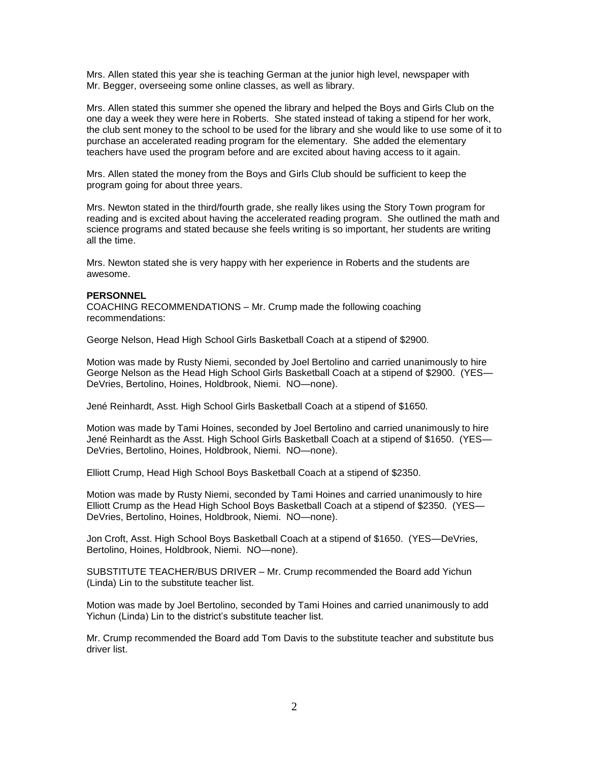Mrs. Allen stated this year she is teaching German at the junior high level, newspaper with Mr. Begger, overseeing some online classes, as well as library.

Mrs. Allen stated this summer she opened the library and helped the Boys and Girls Club on the one day a week they were here in Roberts. She stated instead of taking a stipend for her work, the club sent money to the school to be used for the library and she would like to use some of it to purchase an accelerated reading program for the elementary. She added the elementary teachers have used the program before and are excited about having access to it again.

Mrs. Allen stated the money from the Boys and Girls Club should be sufficient to keep the program going for about three years.

Mrs. Newton stated in the third/fourth grade, she really likes using the Story Town program for reading and is excited about having the accelerated reading program. She outlined the math and science programs and stated because she feels writing is so important, her students are writing all the time.

Mrs. Newton stated she is very happy with her experience in Roberts and the students are awesome.

## **PERSONNEL**

COACHING RECOMMENDATIONS – Mr. Crump made the following coaching recommendations:

George Nelson, Head High School Girls Basketball Coach at a stipend of \$2900.

Motion was made by Rusty Niemi, seconded by Joel Bertolino and carried unanimously to hire George Nelson as the Head High School Girls Basketball Coach at a stipend of \$2900. (YES— DeVries, Bertolino, Hoines, Holdbrook, Niemi. NO—none).

Jené Reinhardt, Asst. High School Girls Basketball Coach at a stipend of \$1650.

Motion was made by Tami Hoines, seconded by Joel Bertolino and carried unanimously to hire Jené Reinhardt as the Asst. High School Girls Basketball Coach at a stipend of \$1650. (YES— DeVries, Bertolino, Hoines, Holdbrook, Niemi. NO—none).

Elliott Crump, Head High School Boys Basketball Coach at a stipend of \$2350.

Motion was made by Rusty Niemi, seconded by Tami Hoines and carried unanimously to hire Elliott Crump as the Head High School Boys Basketball Coach at a stipend of \$2350. (YES— DeVries, Bertolino, Hoines, Holdbrook, Niemi. NO—none).

Jon Croft, Asst. High School Boys Basketball Coach at a stipend of \$1650. (YES—DeVries, Bertolino, Hoines, Holdbrook, Niemi. NO—none).

SUBSTITUTE TEACHER/BUS DRIVER – Mr. Crump recommended the Board add Yichun (Linda) Lin to the substitute teacher list.

Motion was made by Joel Bertolino, seconded by Tami Hoines and carried unanimously to add Yichun (Linda) Lin to the district's substitute teacher list.

Mr. Crump recommended the Board add Tom Davis to the substitute teacher and substitute bus driver list.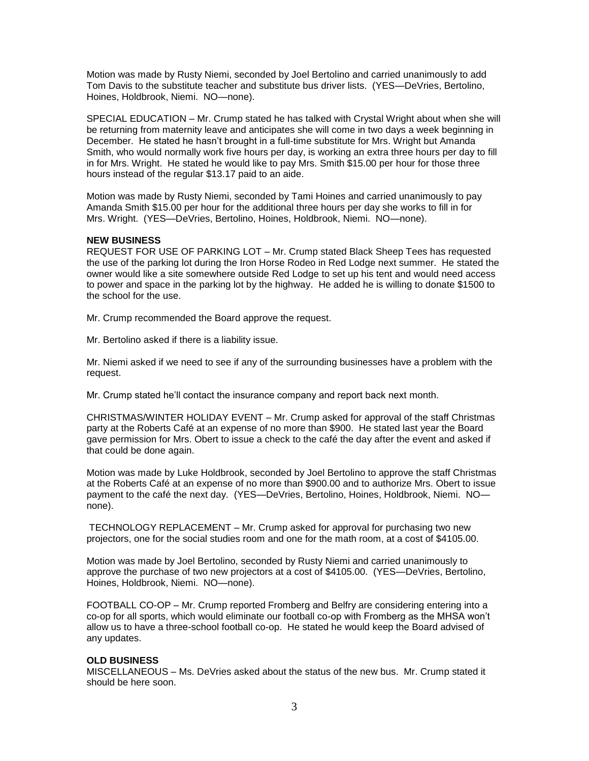Motion was made by Rusty Niemi, seconded by Joel Bertolino and carried unanimously to add Tom Davis to the substitute teacher and substitute bus driver lists. (YES—DeVries, Bertolino, Hoines, Holdbrook, Niemi. NO—none).

SPECIAL EDUCATION – Mr. Crump stated he has talked with Crystal Wright about when she will be returning from maternity leave and anticipates she will come in two days a week beginning in December. He stated he hasn't brought in a full-time substitute for Mrs. Wright but Amanda Smith, who would normally work five hours per day, is working an extra three hours per day to fill in for Mrs. Wright. He stated he would like to pay Mrs. Smith \$15.00 per hour for those three hours instead of the regular \$13.17 paid to an aide.

Motion was made by Rusty Niemi, seconded by Tami Hoines and carried unanimously to pay Amanda Smith \$15.00 per hour for the additional three hours per day she works to fill in for Mrs. Wright. (YES—DeVries, Bertolino, Hoines, Holdbrook, Niemi. NO—none).

## **NEW BUSINESS**

REQUEST FOR USE OF PARKING LOT – Mr. Crump stated Black Sheep Tees has requested the use of the parking lot during the Iron Horse Rodeo in Red Lodge next summer. He stated the owner would like a site somewhere outside Red Lodge to set up his tent and would need access to power and space in the parking lot by the highway. He added he is willing to donate \$1500 to the school for the use.

Mr. Crump recommended the Board approve the request.

Mr. Bertolino asked if there is a liability issue.

Mr. Niemi asked if we need to see if any of the surrounding businesses have a problem with the request.

Mr. Crump stated he'll contact the insurance company and report back next month.

CHRISTMAS/WINTER HOLIDAY EVENT – Mr. Crump asked for approval of the staff Christmas party at the Roberts Café at an expense of no more than \$900. He stated last year the Board gave permission for Mrs. Obert to issue a check to the café the day after the event and asked if that could be done again.

Motion was made by Luke Holdbrook, seconded by Joel Bertolino to approve the staff Christmas at the Roberts Café at an expense of no more than \$900.00 and to authorize Mrs. Obert to issue payment to the café the next day. (YES—DeVries, Bertolino, Hoines, Holdbrook, Niemi. NO none).

TECHNOLOGY REPLACEMENT – Mr. Crump asked for approval for purchasing two new projectors, one for the social studies room and one for the math room, at a cost of \$4105.00.

Motion was made by Joel Bertolino, seconded by Rusty Niemi and carried unanimously to approve the purchase of two new projectors at a cost of \$4105.00. (YES—DeVries, Bertolino, Hoines, Holdbrook, Niemi. NO—none).

FOOTBALL CO-OP – Mr. Crump reported Fromberg and Belfry are considering entering into a co-op for all sports, which would eliminate our football co-op with Fromberg as the MHSA won't allow us to have a three-school football co-op. He stated he would keep the Board advised of any updates.

## **OLD BUSINESS**

MISCELLANEOUS – Ms. DeVries asked about the status of the new bus. Mr. Crump stated it should be here soon.